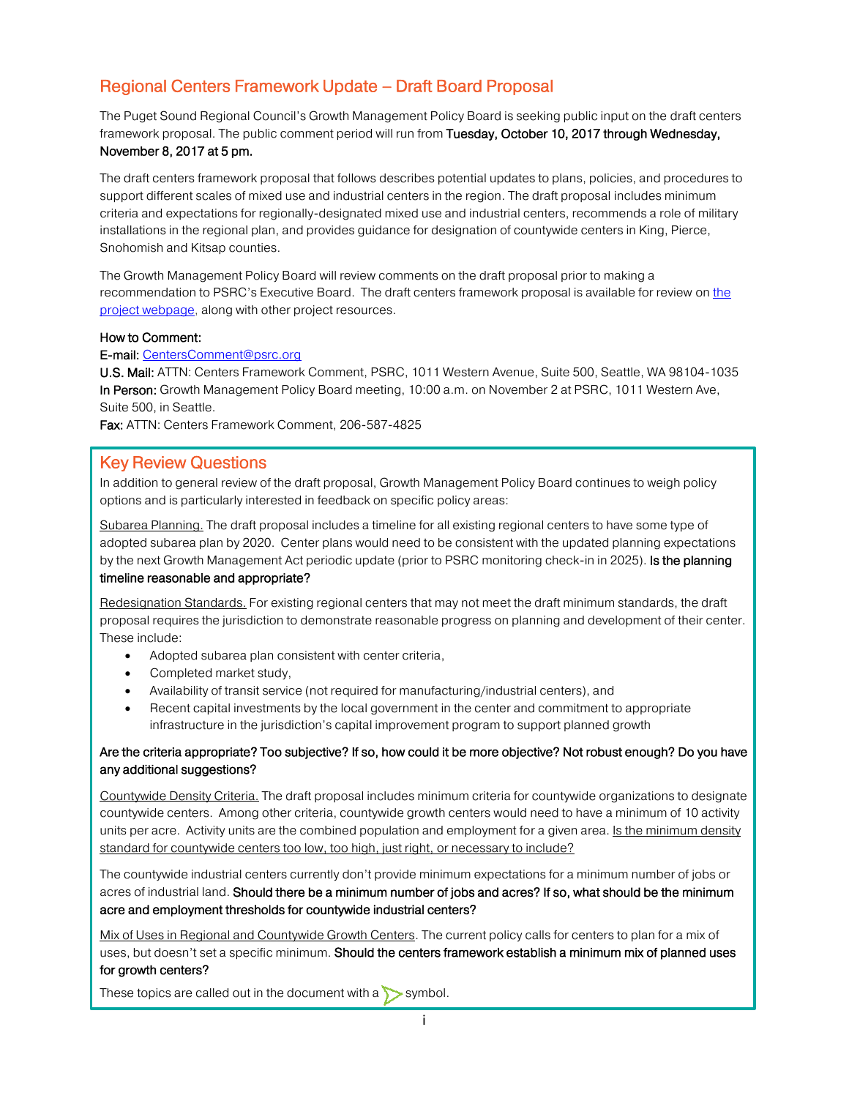# Regional Centers Framework Update – Draft Board Proposal

The Puget Sound Regional Council's Growth Management Policy Board is seeking public input on the draft centers framework proposal. The public comment period will run from Tuesday, October 10, 2017 through Wednesday, November 8, 2017 at 5 pm.

The draft centers framework proposal that follows describes potential updates to plans, policies, and procedures to support different scales of mixed use and industrial centers in the region. The draft proposal includes minimum criteria and expectations for regionally-designated mixed use and industrial centers, recommends a role of military installations in the regional plan, and provides guidance for designation of countywide centers in King, Pierce, Snohomish and Kitsap counties.

The Growth Management Policy Board will review comments on the draft proposal prior to making a recommendati[on](http://www.psrc.org/transportation/t2040/transportation-2040-update) to PSRC's Executive Board. The draft centers framework proposal is available for review on the [project webpage,](https://www.psrc.org/our-work/centers-framework-update) along with other project resources.

#### How to Comment:

#### E-mail: [CentersComment@psrc.org](mailto:CentersComment@psrc.org)

U.S. Mail: ATTN: Centers Framework Comment, PSRC, 1011 Western Avenue, Suite 500, Seattle, WA 98104-1035 In Person: Growth Management Policy Board meeting, 10:00 a.m. on November 2 at PSRC, 1011 Western Ave, Suite 500, in Seattle.

Fax: ATTN: Centers Framework Comment, 206-587-4825

#### Key Review Questions

In addition to general review of the draft proposal, Growth Management Policy Board continues to weigh policy options and is particularly interested in feedback on specific policy areas:

Subarea Planning. The draft proposal includes a timeline for all existing regional centers to have some type of adopted subarea plan by 2020. Center plans would need to be consistent with the updated planning expectations by the next Growth Management Act periodic update (prior to PSRC monitoring check-in in 2025). Is the planning timeline reasonable and appropriate?

Redesignation Standards. For existing regional centers that may not meet the draft minimum standards, the draft proposal requires the jurisdiction to demonstrate reasonable progress on planning and development of their center. These include:

- Adopted subarea plan consistent with center criteria,
- Completed market study,
- Availability of transit service (not required for manufacturing/industrial centers), and
- Recent capital investments by the local government in the center and commitment to appropriate infrastructure in the jurisdiction's capital improvement program to support planned growth

#### Are the criteria appropriate? Too subjective? If so, how could it be more objective? Not robust enough? Do you have any additional suggestions?

Countywide Density Criteria. The draft proposal includes minimum criteria for countywide organizations to designate countywide centers. Among other criteria, countywide growth centers would need to have a minimum of 10 activity units per acre. Activity units are the combined population and employment for a given area. Is the minimum density standard for countywide centers too low, too high, just right, or necessary to include?

The countywide industrial centers currently don't provide minimum expectations for a minimum number of jobs or acres of industrial land. Should there be a minimum number of jobs and acres? If so, what should be the minimum acre and employment thresholds for countywide industrial centers?

Mix of Uses in Regional and Countywide Growth Centers. The current policy calls for centers to plan for a mix of uses, but doesn't set a specific minimum. Should the centers framework establish a minimum mix of planned uses for growth centers?

These topics are called out in the document with a  $\triangleright$  symbol.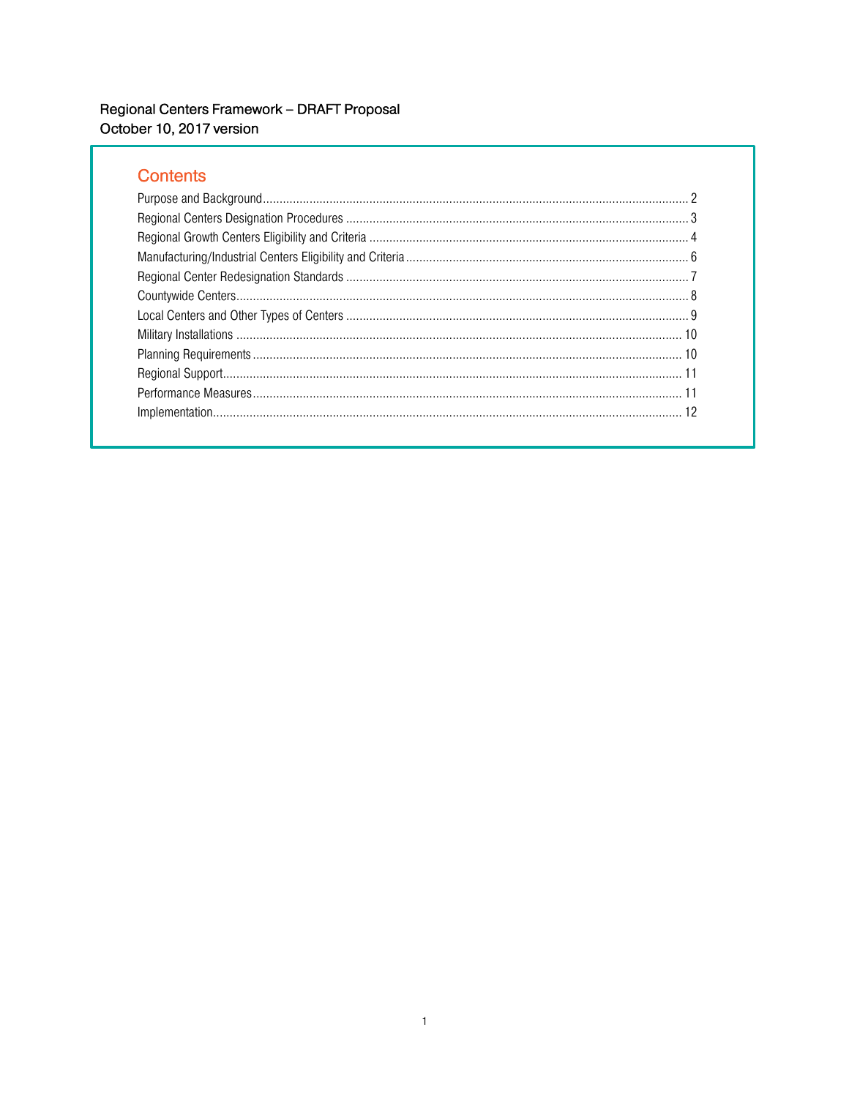# **Contents**

<span id="page-1-0"></span>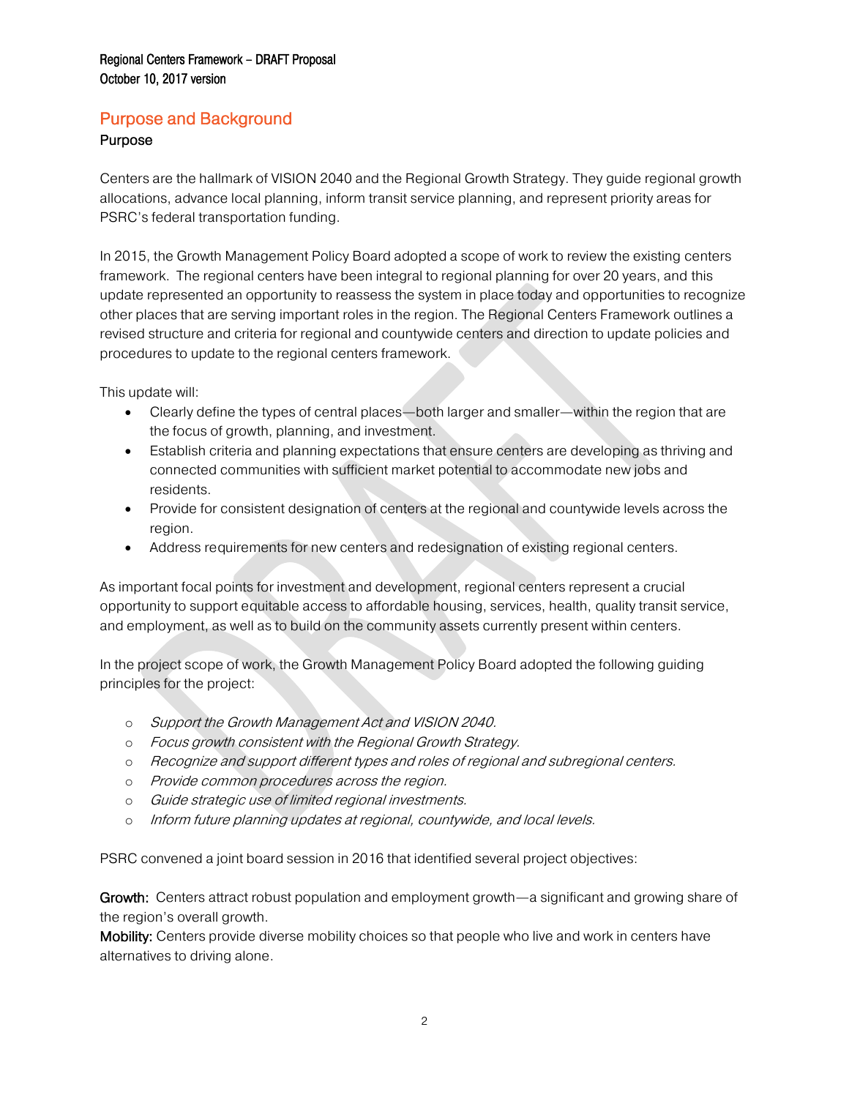# Purpose and Background

#### Purpose

Centers are the hallmark of VISION 2040 and the Regional Growth Strategy. They guide regional growth allocations, advance local planning, inform transit service planning, and represent priority areas for PSRC's federal transportation funding.

In 2015, the Growth Management Policy Board adopted a scope of work to review the existing centers framework. The regional centers have been integral to regional planning for over 20 years, and this update represented an opportunity to reassess the system in place today and opportunities to recognize other places that are serving important roles in the region. The Regional Centers Framework outlines a revised structure and criteria for regional and countywide centers and direction to update policies and procedures to update to the regional centers framework.

This update will:

- Clearly define the types of central places—both larger and smaller—within the region that are the focus of growth, planning, and investment.
- Establish criteria and planning expectations that ensure centers are developing as thriving and connected communities with sufficient market potential to accommodate new jobs and residents.
- Provide for consistent designation of centers at the regional and countywide levels across the region.
- Address requirements for new centers and redesignation of existing regional centers.

As important focal points for investment and development, regional centers represent a crucial opportunity to support equitable access to affordable housing, services, health, quality transit service, and employment, as well as to build on the community assets currently present within centers.

In the project scope of work, the Growth Management Policy Board adopted the following guiding principles for the project:

- o Support the Growth Management Act and VISION 2040.
- o Focus growth consistent with the Regional Growth Strategy.
- o Recognize and support different types and roles of regional and subregional centers.
- o Provide common procedures across the region.
- o Guide strategic use of limited regional investments.
- o Inform future planning updates at regional, countywide, and local levels.

PSRC convened a joint board session in 2016 that identified several project objectives:

Growth: Centers attract robust population and employment growth—a significant and growing share of the region's overall growth.

Mobility: Centers provide diverse mobility choices so that people who live and work in centers have alternatives to driving alone.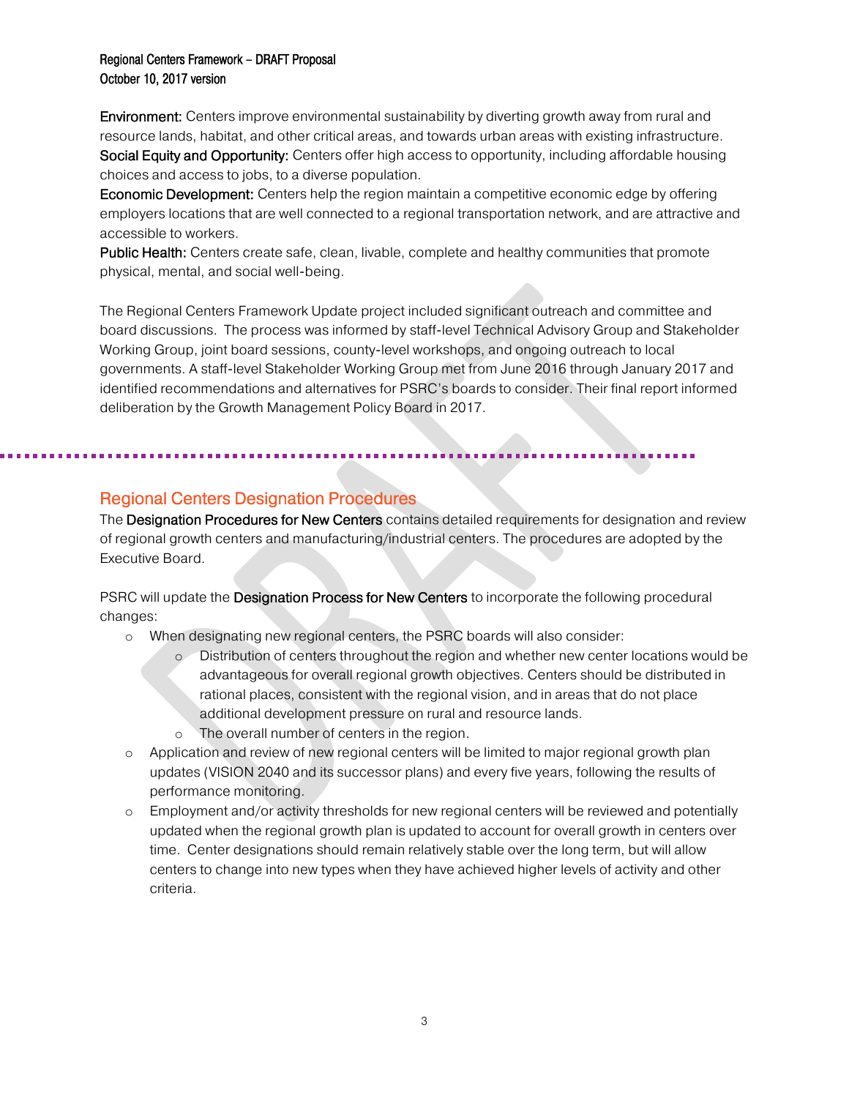**Environment:** Centers improve environmental sustainability by diverting growth away from rural and resource lands, habitat, and other critical areas, and towards urban areas with existing infrastructure. Social Equity and Opportunity: Centers offer high access to opportunity, including affordable housing choices and access to jobs, to a diverse population.

Economic Development: Centers help the region maintain a competitive economic edge by offering employers locations that are well connected to a regional transportation network, and are attractive and accessible to workers.

Public Health: Centers create safe, clean, livable, complete and healthy communities that promote physical, mental, and social well-being.

The Regional Centers Framework Update project included significant outreach and committee and board discussions. The process was informed by staff-level Technical Advisory Group and Stakeholder Working Group, joint board sessions, county-level workshops, and ongoing outreach to local governments. A staff-level Stakeholder Working Group met from June 2016 through January 2017 and identified recommendations and alternatives for PSRC's boards to consider. Their final report informed deliberation by the Growth Management Policy Board in 2017.

# Regional Centers Designation Procedures

<span id="page-3-0"></span>l,

The Designation Procedures for New Centers contains detailed requirements for designation and review of regional growth centers and manufacturing/industrial centers. The procedures are adopted by the Executive Board.

PSRC will update the Designation Process for New Centers to incorporate the following procedural changes:

- o When designating new regional centers, the PSRC boards will also consider:
	- o Distribution of centers throughout the region and whether new center locations would be advantageous for overall regional growth objectives. Centers should be distributed in rational places, consistent with the regional vision, and in areas that do not place additional development pressure on rural and resource lands.
	- o The overall number of centers in the region.

- o Application and review of new regional centers will be limited to major regional growth plan updates (VISION 2040 and its successor plans) and every five years, following the results of performance monitoring.
- <span id="page-3-1"></span>o Employment and/or activity thresholds for new regional centers will be reviewed and potentially updated when the regional growth plan is updated to account for overall growth in centers over time. Center designations should remain relatively stable over the long term, but will allow centers to change into new types when they have achieved higher levels of activity and other criteria.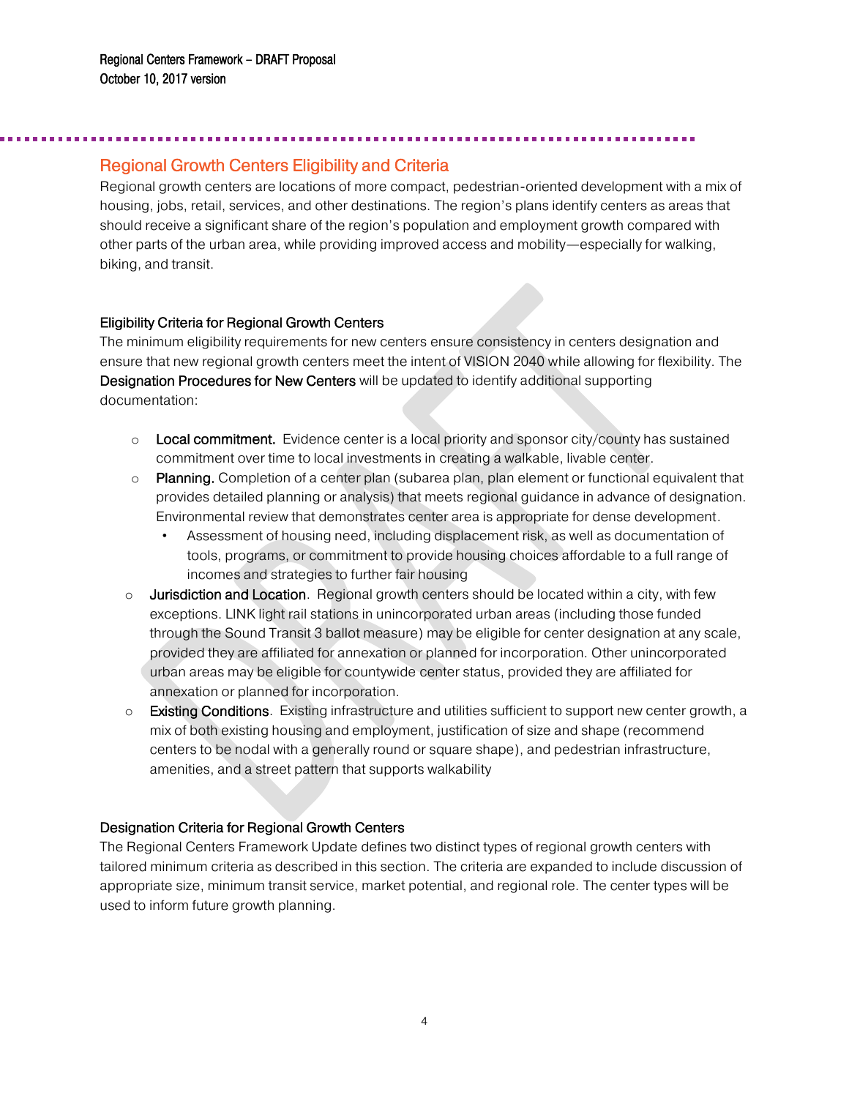j

# Regional Growth Centers Eligibility and Criteria

Regional growth centers are locations of more compact, pedestrian-oriented development with a mix of housing, jobs, retail, services, and other destinations. The region's plans identify centers as areas that should receive a significant share of the region's population and employment growth compared with other parts of the urban area, while providing improved access and mobility—especially for walking, biking, and transit.

#### Eligibility Criteria for Regional Growth Centers

The minimum eligibility requirements for new centers ensure consistency in centers designation and ensure that new regional growth centers meet the intent of VISION 2040 while allowing for flexibility. The Designation Procedures for New Centers will be updated to identify additional supporting documentation:

- $\circ$  Local commitment. Evidence center is a local priority and sponsor city/county has sustained commitment over time to local investments in creating a walkable, livable center.
- $\circ$  Planning. Completion of a center plan (subarea plan, plan element or functional equivalent that provides detailed planning or analysis) that meets regional guidance in advance of designation. Environmental review that demonstrates center area is appropriate for dense development.
	- Assessment of housing need, including displacement risk, as well as documentation of tools, programs, or commitment to provide housing choices affordable to a full range of incomes and strategies to further fair housing
- $\circ$  Jurisdiction and Location. Regional growth centers should be located within a city, with few exceptions. LINK light rail stations in unincorporated urban areas (including those funded through the Sound Transit 3 ballot measure) may be eligible for center designation at any scale, provided they are affiliated for annexation or planned for incorporation. Other unincorporated urban areas may be eligible for countywide center status, provided they are affiliated for annexation or planned for incorporation.
- $\circ$  Existing Conditions. Existing infrastructure and utilities sufficient to support new center growth, a mix of both existing housing and employment, justification of size and shape (recommend centers to be nodal with a generally round or square shape), and pedestrian infrastructure, amenities, and a street pattern that supports walkability

### Designation Criteria for Regional Growth Centers

The Regional Centers Framework Update defines two distinct types of regional growth centers with tailored minimum criteria as described in this section. The criteria are expanded to include discussion of appropriate size, minimum transit service, market potential, and regional role. The center types will be used to inform future growth planning.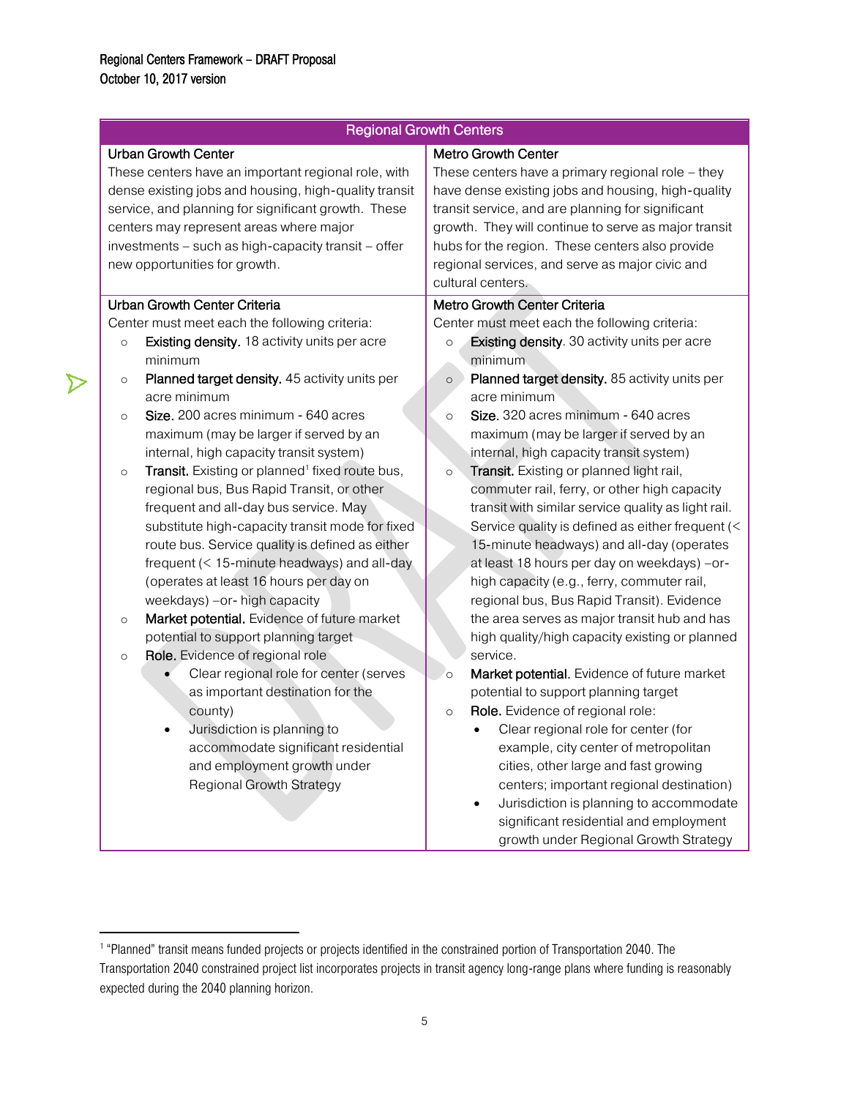$\triangleright$ 

| <b>Regional Growth Centers</b>                                                                                                                                                                                                                                                                                                                                                                                                                                                                                                                                                                                                                                                                                                                                                                                                                                                                                                                                                                                                                                                                                                                           |                                                                                                                                                                                                                                                                                                                                                                                                                                                                                                                                                                                                                                                                                                                                                                                                                                                                                                                                                                                                                                                                                                                                                                                                                                                                                                                                                                       |  |
|----------------------------------------------------------------------------------------------------------------------------------------------------------------------------------------------------------------------------------------------------------------------------------------------------------------------------------------------------------------------------------------------------------------------------------------------------------------------------------------------------------------------------------------------------------------------------------------------------------------------------------------------------------------------------------------------------------------------------------------------------------------------------------------------------------------------------------------------------------------------------------------------------------------------------------------------------------------------------------------------------------------------------------------------------------------------------------------------------------------------------------------------------------|-----------------------------------------------------------------------------------------------------------------------------------------------------------------------------------------------------------------------------------------------------------------------------------------------------------------------------------------------------------------------------------------------------------------------------------------------------------------------------------------------------------------------------------------------------------------------------------------------------------------------------------------------------------------------------------------------------------------------------------------------------------------------------------------------------------------------------------------------------------------------------------------------------------------------------------------------------------------------------------------------------------------------------------------------------------------------------------------------------------------------------------------------------------------------------------------------------------------------------------------------------------------------------------------------------------------------------------------------------------------------|--|
| <b>Urban Growth Center</b><br>These centers have an important regional role, with<br>dense existing jobs and housing, high-quality transit<br>service, and planning for significant growth. These<br>centers may represent areas where major<br>investments - such as high-capacity transit - offer<br>new opportunities for growth.                                                                                                                                                                                                                                                                                                                                                                                                                                                                                                                                                                                                                                                                                                                                                                                                                     | <b>Metro Growth Center</b><br>These centers have a primary regional role $-$ they<br>have dense existing jobs and housing, high-quality<br>transit service, and are planning for significant<br>growth. They will continue to serve as major transit<br>hubs for the region. These centers also provide<br>regional services, and serve as major civic and<br>cultural centers.                                                                                                                                                                                                                                                                                                                                                                                                                                                                                                                                                                                                                                                                                                                                                                                                                                                                                                                                                                                       |  |
| Urban Growth Center Criteria<br>Center must meet each the following criteria:<br>Existing density. 18 activity units per acre<br>$\circ$<br>minimum<br>Planned target density. 45 activity units per<br>$\circ$<br>acre minimum<br>Size. 200 acres minimum - 640 acres<br>$\circ$<br>maximum (may be larger if served by an<br>internal, high capacity transit system)<br>Transit. Existing or planned <sup>1</sup> fixed route bus,<br>$\circ$<br>regional bus, Bus Rapid Transit, or other<br>frequent and all-day bus service. May<br>substitute high-capacity transit mode for fixed<br>route bus. Service quality is defined as either<br>frequent $(< 15$ -minute headways) and all-day<br>(operates at least 16 hours per day on<br>weekdays) -or- high capacity<br>Market potential. Evidence of future market<br>$\circ$<br>potential to support planning target<br>Role. Evidence of regional role<br>$\circ$<br>Clear regional role for center (serves<br>as important destination for the<br>county)<br>Jurisdiction is planning to<br>accommodate significant residential<br>and employment growth under<br><b>Regional Growth Strategy</b> | Metro Growth Center Criteria<br>Center must meet each the following criteria:<br><b>Existing density</b> . 30 activity units per acre<br>$\circ$<br>minimum<br>Planned target density. 85 activity units per<br>$\circ$<br>acre minimum<br>Size. 320 acres minimum - 640 acres<br>$\circ$<br>maximum (may be larger if served by an<br>internal, high capacity transit system)<br>Transit. Existing or planned light rail,<br>$\circ$<br>commuter rail, ferry, or other high capacity<br>transit with similar service quality as light rail.<br>Service quality is defined as either frequent (<<br>15-minute headways) and all-day (operates<br>at least 18 hours per day on weekdays) -or-<br>high capacity (e.g., ferry, commuter rail,<br>regional bus, Bus Rapid Transit). Evidence<br>the area serves as major transit hub and has<br>high quality/high capacity existing or planned<br>service.<br>Market potential. Evidence of future market<br>$\circ$<br>potential to support planning target<br>Role. Evidence of regional role:<br>$\circ$<br>Clear regional role for center (for<br>example, city center of metropolitan<br>cities, other large and fast growing<br>centers; important regional destination)<br>Jurisdiction is planning to accommodate<br>$\bullet$<br>significant residential and employment<br>growth under Regional Growth Strategy |  |

<span id="page-5-0"></span> 1 "Planned" transit means funded projects or projects identified in the constrained portion of Transportation 2040. The Transportation 2040 constrained project list incorporates projects in transit agency long-range plans where funding is reasonably expected during the 2040 planning horizon.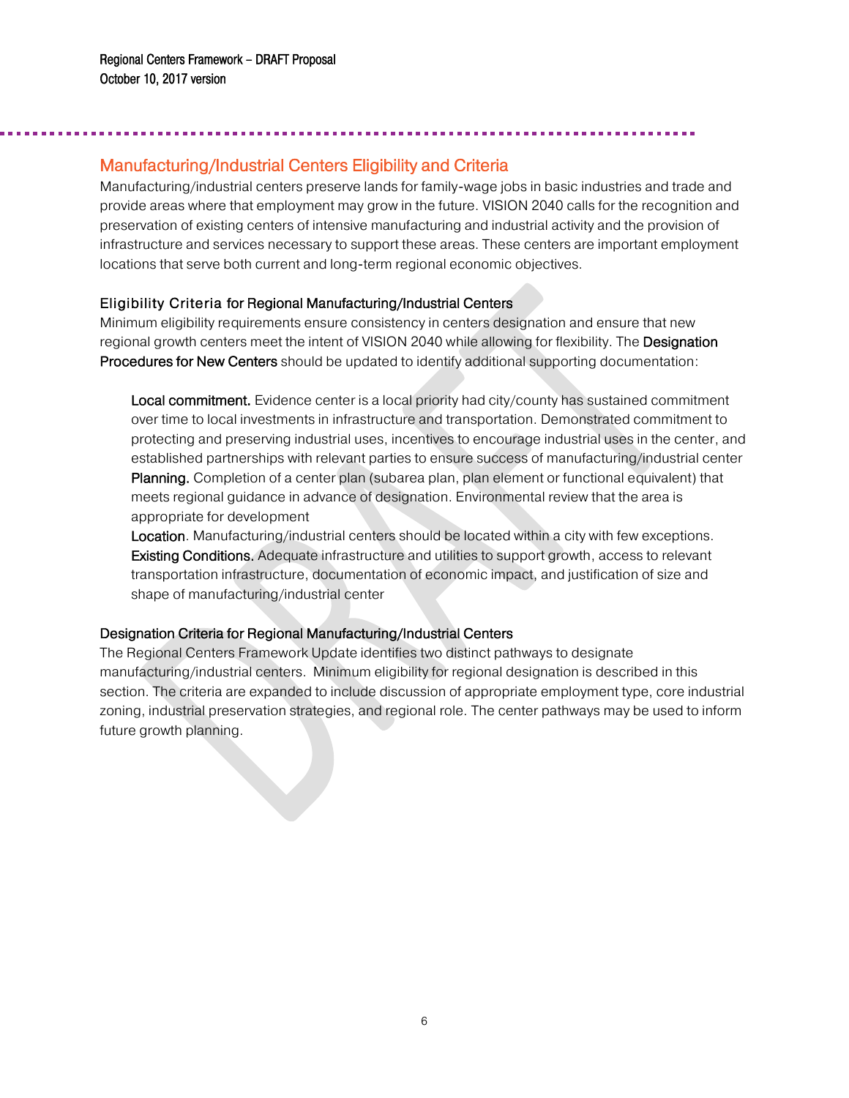Ī

# Manufacturing/Industrial Centers Eligibility and Criteria

Manufacturing/industrial centers preserve lands for family-wage jobs in basic industries and trade and provide areas where that employment may grow in the future. VISION 2040 calls for the recognition and preservation of existing centers of intensive manufacturing and industrial activity and the provision of infrastructure and services necessary to support these areas. These centers are important employment locations that serve both current and long-term regional economic objectives.

#### Eligibility Criteria for Regional Manufacturing/Industrial Centers

Minimum eligibility requirements ensure consistency in centers designation and ensure that new regional growth centers meet the intent of VISION 2040 while allowing for flexibility. The Designation Procedures for New Centers should be updated to identify additional supporting documentation:

Local commitment. Evidence center is a local priority had city/county has sustained commitment over time to local investments in infrastructure and transportation. Demonstrated commitment to protecting and preserving industrial uses, incentives to encourage industrial uses in the center, and established partnerships with relevant parties to ensure success of manufacturing/industrial center Planning. Completion of a center plan (subarea plan, plan element or functional equivalent) that meets regional guidance in advance of designation. Environmental review that the area is appropriate for development

Location. Manufacturing/industrial centers should be located within a city with few exceptions. Existing Conditions. Adequate infrastructure and utilities to support growth, access to relevant transportation infrastructure, documentation of economic impact, and justification of size and shape of manufacturing/industrial center

### Designation Criteria for Regional Manufacturing/Industrial Centers

The Regional Centers Framework Update identifies two distinct pathways to designate manufacturing/industrial centers. Minimum eligibility for regional designation is described in this section. The criteria are expanded to include discussion of appropriate employment type, core industrial zoning, industrial preservation strategies, and regional role. The center pathways may be used to inform future growth planning.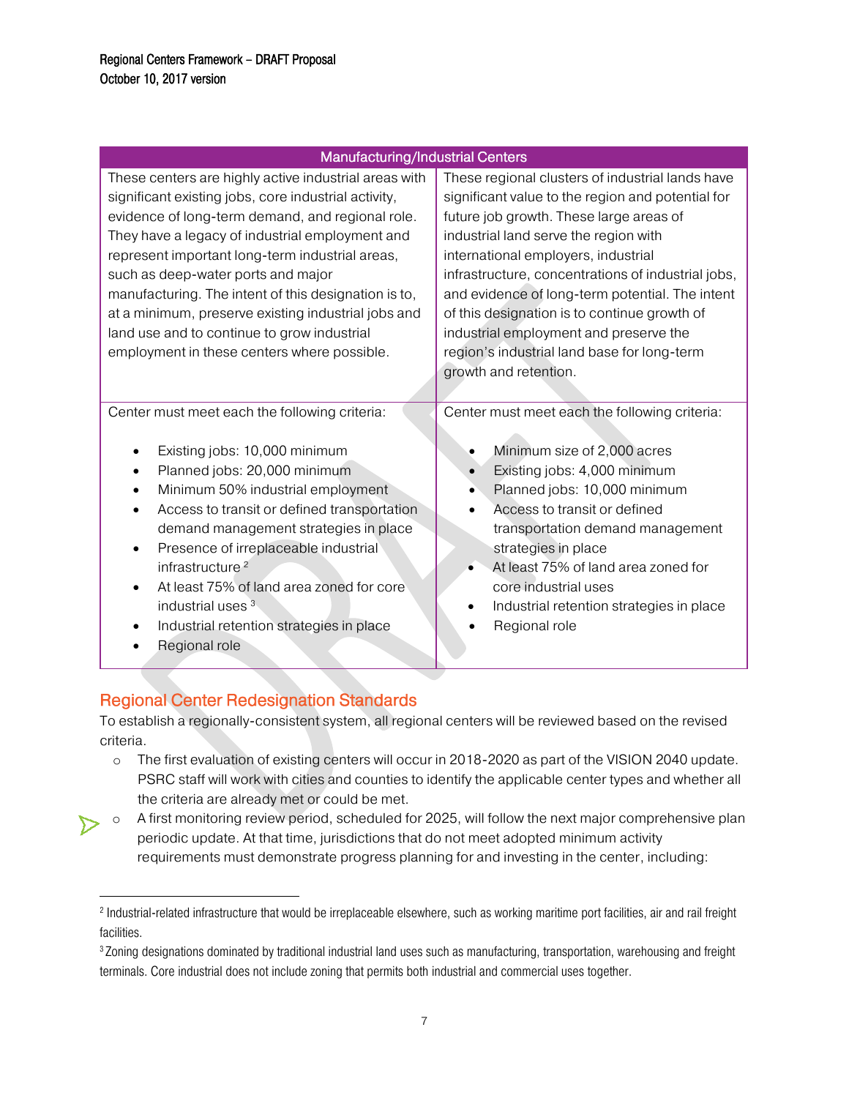| Manufacturing/Industrial Centers                                                                                                                                                                                                                                                                                                                                                                                                                                                                                           |                                                                                                                                                                                                                                                                                                                                                                                                                                                                                                             |
|----------------------------------------------------------------------------------------------------------------------------------------------------------------------------------------------------------------------------------------------------------------------------------------------------------------------------------------------------------------------------------------------------------------------------------------------------------------------------------------------------------------------------|-------------------------------------------------------------------------------------------------------------------------------------------------------------------------------------------------------------------------------------------------------------------------------------------------------------------------------------------------------------------------------------------------------------------------------------------------------------------------------------------------------------|
| These centers are highly active industrial areas with<br>significant existing jobs, core industrial activity,<br>evidence of long-term demand, and regional role.<br>They have a legacy of industrial employment and<br>represent important long-term industrial areas,<br>such as deep-water ports and major<br>manufacturing. The intent of this designation is to,<br>at a minimum, preserve existing industrial jobs and<br>land use and to continue to grow industrial<br>employment in these centers where possible. | These regional clusters of industrial lands have<br>significant value to the region and potential for<br>future job growth. These large areas of<br>industrial land serve the region with<br>international employers, industrial<br>infrastructure, concentrations of industrial jobs,<br>and evidence of long-term potential. The intent<br>of this designation is to continue growth of<br>industrial employment and preserve the<br>region's industrial land base for long-term<br>growth and retention. |
| Center must meet each the following criteria:<br>Existing jobs: 10,000 minimum<br>Planned jobs: 20,000 minimum<br>$\bullet$<br>Minimum 50% industrial employment<br>Access to transit or defined transportation<br>demand management strategies in place<br>Presence of irreplaceable industrial<br>infrastructure <sup>2</sup><br>At least 75% of land area zoned for core<br>industrial uses <sup>3</sup><br>Industrial retention strategies in place<br>Regional role                                                   | Center must meet each the following criteria:<br>Minimum size of 2,000 acres<br>Existing jobs: 4,000 minimum<br>$\bullet$<br>Planned jobs: 10,000 minimum<br>Access to transit or defined<br>transportation demand management<br>strategies in place<br>At least 75% of land area zoned for<br>core industrial uses<br>Industrial retention strategies in place<br>٠<br>Regional role                                                                                                                       |

# <span id="page-7-0"></span>Regional Center Redesignation Standards

 $\overline{\phantom{a}}$ 

To establish a regionally-consistent system, all regional centers will be reviewed based on the revised criteria.

- o The first evaluation of existing centers will occur in 2018-2020 as part of the VISION 2040 update. PSRC staff will work with cities and counties to identify the applicable center types and whether all the criteria are already met or could be met.
- o A first monitoring review period, scheduled for 2025, will follow the next major comprehensive plan periodic update. At that time, jurisdictions that do not meet adopted minimum activity requirements must demonstrate progress planning for and investing in the center, including:

<sup>&</sup>lt;sup>2</sup> Industrial-related infrastructure that would be irreplaceable elsewhere, such as working maritime port facilities, air and rail freight facilities.

<sup>3</sup> Zoning designations dominated by traditional industrial land uses such as manufacturing, transportation, warehousing and freight terminals. Core industrial does not include zoning that permits both industrial and commercial uses together.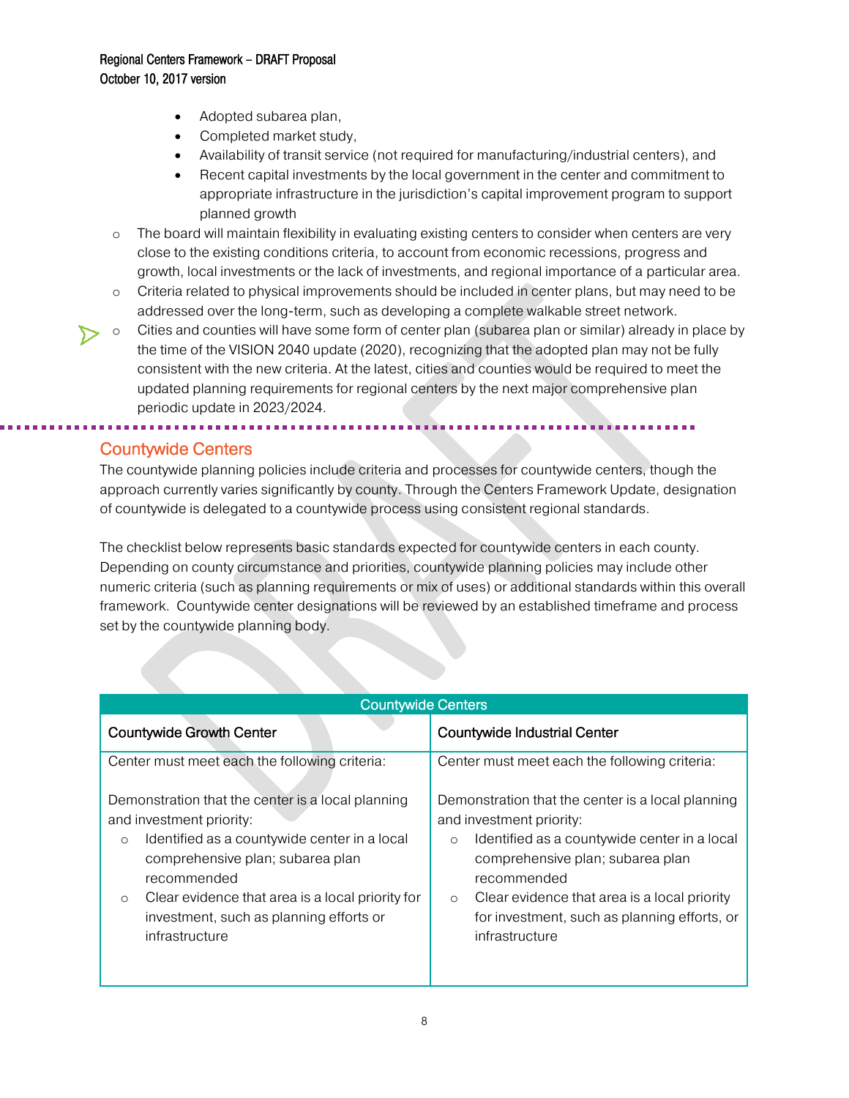- Adopted subarea plan,
- Completed market study,

- Availability of transit service (not required for manufacturing/industrial centers), and
- Recent capital investments by the local government in the center and commitment to appropriate infrastructure in the jurisdiction's capital improvement program to support planned growth
- $\circ$  The board will maintain flexibility in evaluating existing centers to consider when centers are very close to the existing conditions criteria, to account from economic recessions, progress and growth, local investments or the lack of investments, and regional importance of a particular area.
- o Criteria related to physical improvements should be included in center plans, but may need to be addressed over the long-term, such as developing a complete walkable street network.
- o Cities and counties will have some form of center plan (subarea plan or similar) already in place by the time of the VISION 2040 update (2020), recognizing that the adopted plan may not be fully consistent with the new criteria. At the latest, cities and counties would be required to meet the updated planning requirements for regional centers by the next major comprehensive plan periodic update in 2023/2024.

# <span id="page-8-0"></span>Countywide Centers

j

The countywide planning policies include criteria and processes for countywide centers, though the approach currently varies significantly by county. Through the Centers Framework Update, designation of countywide is delegated to a countywide process using consistent regional standards.

The checklist below represents basic standards expected for countywide centers in each county. Depending on county circumstance and priorities, countywide planning policies may include other numeric criteria (such as planning requirements or mix of uses) or additional standards within this overall framework. Countywide center designations will be reviewed by an established timeframe and process set by the countywide planning body.

| <b>Countywide Centers</b>                                                                                                                                                                                                                                                                                               |                                                                                                                                                                                                                                                                                                                          |  |
|-------------------------------------------------------------------------------------------------------------------------------------------------------------------------------------------------------------------------------------------------------------------------------------------------------------------------|--------------------------------------------------------------------------------------------------------------------------------------------------------------------------------------------------------------------------------------------------------------------------------------------------------------------------|--|
| <b>Countywide Growth Center</b>                                                                                                                                                                                                                                                                                         | Countywide Industrial Center                                                                                                                                                                                                                                                                                             |  |
| Center must meet each the following criteria:                                                                                                                                                                                                                                                                           | Center must meet each the following criteria:                                                                                                                                                                                                                                                                            |  |
| Demonstration that the center is a local planning<br>and investment priority:<br>Identified as a countywide center in a local<br>$\circ$<br>comprehensive plan; subarea plan<br>recommended<br>Clear evidence that area is a local priority for<br>$\circ$<br>investment, such as planning efforts or<br>infrastructure | Demonstration that the center is a local planning<br>and investment priority:<br>Identified as a countywide center in a local<br>$\circ$<br>comprehensive plan; subarea plan<br>recommended<br>Clear evidence that area is a local priority<br>$\circ$<br>for investment, such as planning efforts, or<br>infrastructure |  |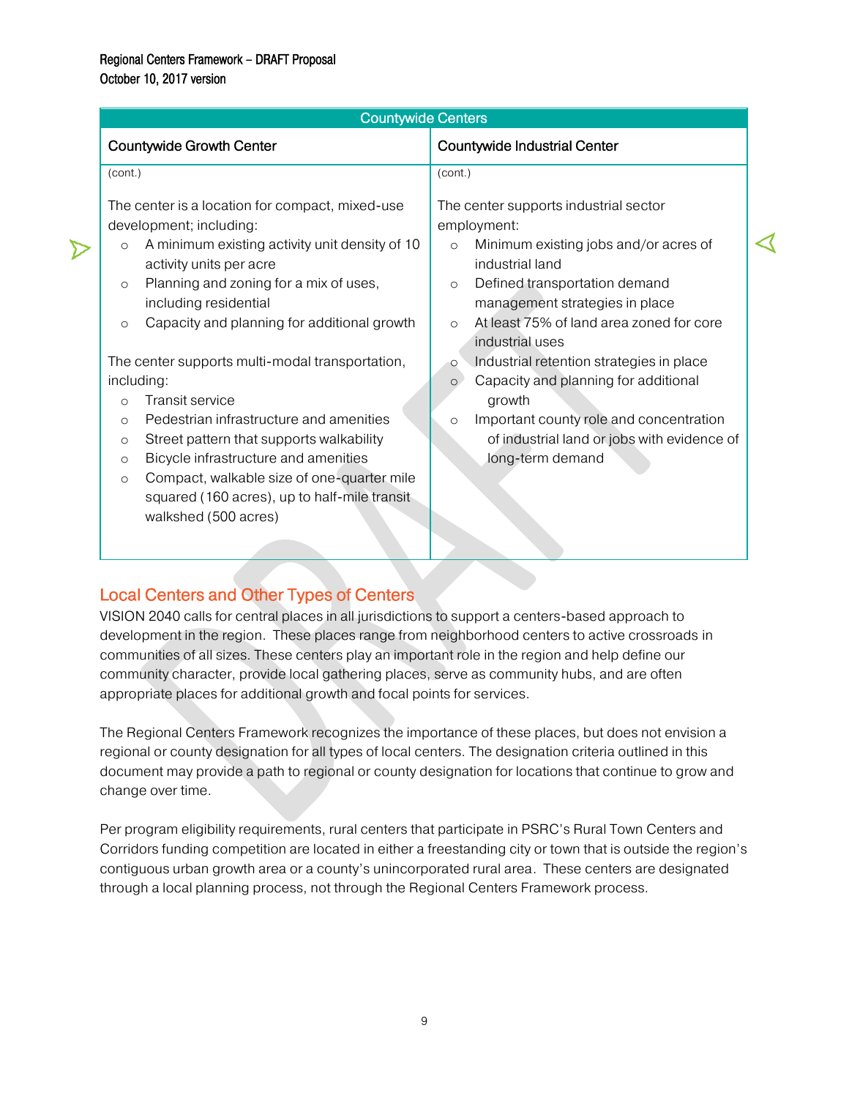| <b>Countywide Industrial Center</b>                                                                                                                                                                                                         |
|---------------------------------------------------------------------------------------------------------------------------------------------------------------------------------------------------------------------------------------------|
|                                                                                                                                                                                                                                             |
| (cont.)<br>The center supports industrial sector                                                                                                                                                                                            |
| employment:<br>Minimum existing jobs and/or acres of<br>$\circ$<br>industrial land<br>Defined transportation demand<br>$\circ$<br>management strategies in place<br>At least 75% of land area zoned for core<br>$\Omega$<br>industrial uses |
| Industrial retention strategies in place<br>$\circ$<br>Capacity and planning for additional<br>$\circ$<br>growth<br>Important county role and concentration<br>$\circ$<br>of industrial land or jobs with evidence of<br>long-term demand   |
|                                                                                                                                                                                                                                             |

# <span id="page-9-0"></span>Local Centers and Other Types of Centers

VISION 2040 calls for central places in all jurisdictions to support a centers-based approach to development in the region. These places range from neighborhood centers to active crossroads in communities of all sizes. These centers play an important role in the region and help define our community character, provide local gathering places, serve as community hubs, and are often appropriate places for additional growth and focal points for services.

The Regional Centers Framework recognizes the importance of these places, but does not envision a regional or county designation for all types of local centers. The designation criteria outlined in this document may provide a path to regional or county designation for locations that continue to grow and change over time.

<span id="page-9-1"></span>Per program eligibility requirements, rural centers that participate in PSRC's Rural Town Centers and Corridors funding competition are located in either a freestanding city or town that is outside the region's contiguous urban growth area or a county's unincorporated rural area. These centers are designated through a local planning process, not through the Regional Centers Framework process.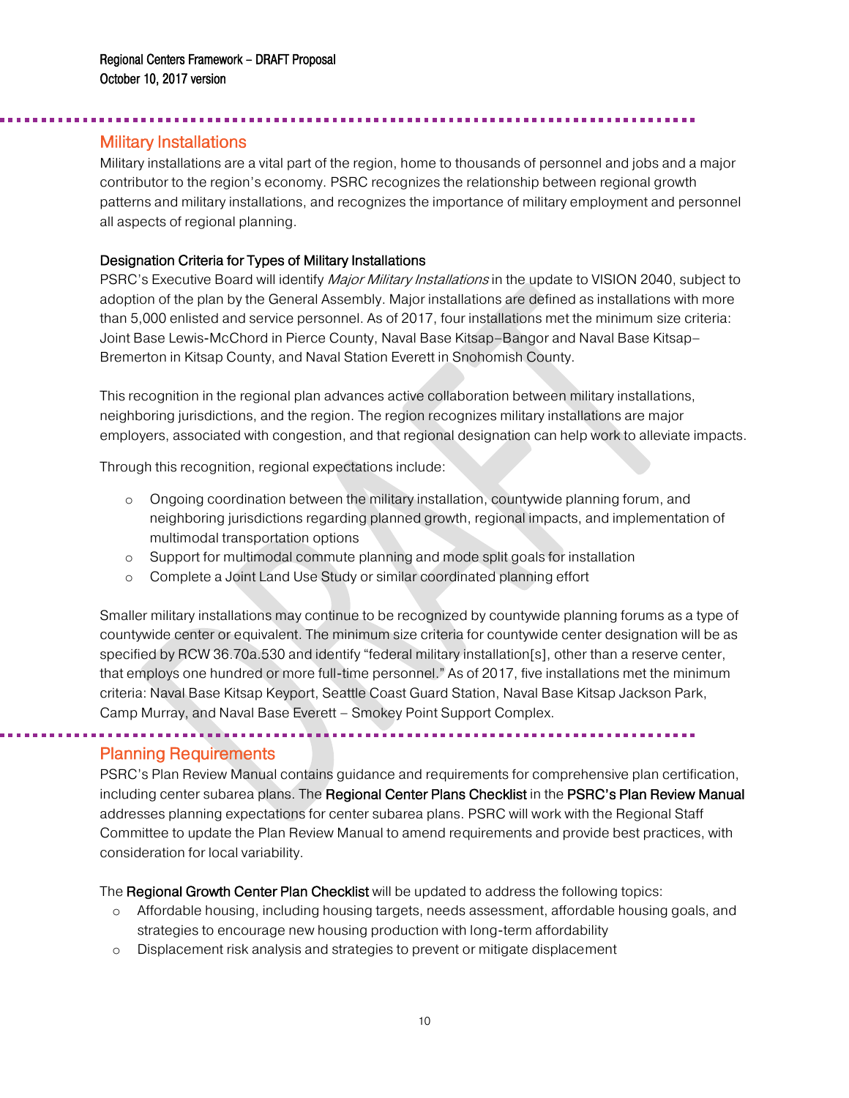# Military Installations

j

Military installations are a vital part of the region, home to thousands of personnel and jobs and a major contributor to the region's economy. PSRC recognizes the relationship between regional growth patterns and military installations, and recognizes the importance of military employment and personnel all aspects of regional planning.

#### Designation Criteria for Types of Military Installations

. . . . . . . . . . . . . . . . . . .

PSRC's Executive Board will identify *Major Military Installations* in the update to VISION 2040, subject to adoption of the plan by the General Assembly. Major installations are defined as installations with more than 5,000 enlisted and service personnel. As of 2017, four installations met the minimum size criteria: Joint Base Lewis-McChord in Pierce County, Naval Base Kitsap–Bangor and Naval Base Kitsap– Bremerton in Kitsap County, and Naval Station Everett in Snohomish County.

This recognition in the regional plan advances active collaboration between military installations, neighboring jurisdictions, and the region. The region recognizes military installations are major employers, associated with congestion, and that regional designation can help work to alleviate impacts.

Through this recognition, regional expectations include:

- o Ongoing coordination between the military installation, countywide planning forum, and neighboring jurisdictions regarding planned growth, regional impacts, and implementation of multimodal transportation options
- o Support for multimodal commute planning and mode split goals for installation
- o Complete a Joint Land Use Study or similar coordinated planning effort

Smaller military installations may continue to be recognized by countywide planning forums as a type of countywide center or equivalent. The minimum size criteria for countywide center designation will be as specified by RCW 36.70a.530 and identify "federal military installation[s], other than a reserve center, that employs one hundred or more full-time personnel." As of 2017, five installations met the minimum criteria: Naval Base Kitsap Keyport, Seattle Coast Guard Station, Naval Base Kitsap Jackson Park, Camp Murray, and Naval Base Everett – Smokey Point Support Complex.

### <span id="page-10-0"></span>Planning Requirements

 $\overline{a}$ 

PSRC's Plan Review Manual contains guidance and requirements for comprehensive plan certification, including center subarea plans. The Regional Center Plans Checklist in the PSRC's Plan Review Manual addresses planning expectations for center subarea plans. PSRC will work with the Regional Staff Committee to update the Plan Review Manual to amend requirements and provide best practices, with consideration for local variability.

The Regional Growth Center Plan Checklist will be updated to address the following topics:

- o Affordable housing, including housing targets, needs assessment, affordable housing goals, and strategies to encourage new housing production with long-term affordability
- o Displacement risk analysis and strategies to prevent or mitigate displacement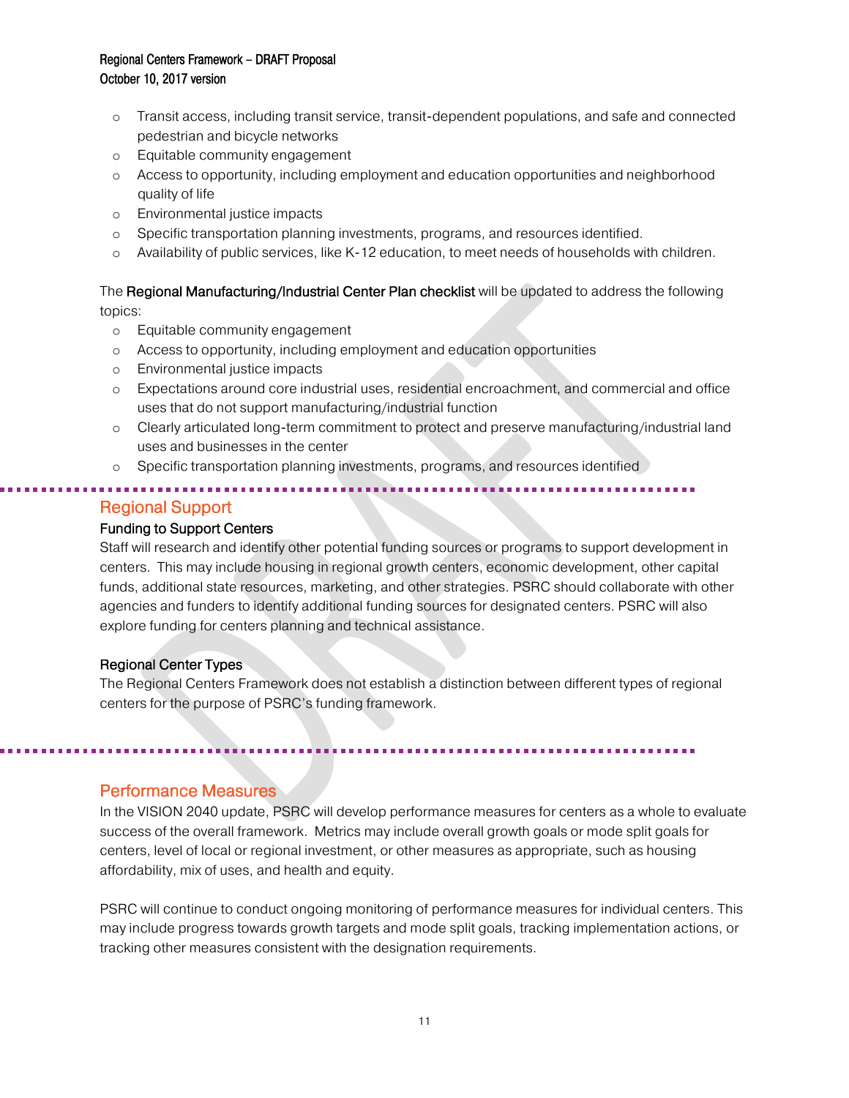- o Transit access, including transit service, transit-dependent populations, and safe and connected pedestrian and bicycle networks
- o Equitable community engagement
- o Access to opportunity, including employment and education opportunities and neighborhood quality of life
- o Environmental justice impacts
- o Specific transportation planning investments, programs, and resources identified.
- o Availability of public services, like K-12 education, to meet needs of households with children.

The Regional Manufacturing/Industrial Center Plan checklist will be updated to address the following topics:

- o Equitable community engagement
- o Access to opportunity, including employment and education opportunities
- o Environmental justice impacts
- o Expectations around core industrial uses, residential encroachment, and commercial and office uses that do not support manufacturing/industrial function
- o Clearly articulated long-term commitment to protect and preserve manufacturing/industrial land uses and businesses in the center
- o Specific transportation planning investments, programs, and resources identified

<span id="page-11-0"></span>Regional Support

l

<span id="page-11-1"></span>l

### Funding to Support Centers

Staff will research and identify other potential funding sources or programs to support development in centers. This may include housing in regional growth centers, economic development, other capital funds, additional state resources, marketing, and other strategies. PSRC should collaborate with other agencies and funders to identify additional funding sources for designated centers. PSRC will also explore funding for centers planning and technical assistance.

### Regional Center Types

The Regional Centers Framework does not establish a distinction between different types of regional centers for the purpose of PSRC's funding framework.

# Performance Measures

In the VISION 2040 update, PSRC will develop performance measures for centers as a whole to evaluate success of the overall framework. Metrics may include overall growth goals or mode split goals for centers, level of local or regional investment, or other measures as appropriate, such as housing affordability, mix of uses, and health and equity.

PSRC will continue to conduct ongoing monitoring of performance measures for individual centers. This may include progress towards growth targets and mode split goals, tracking implementation actions, or tracking other measures consistent with the designation requirements.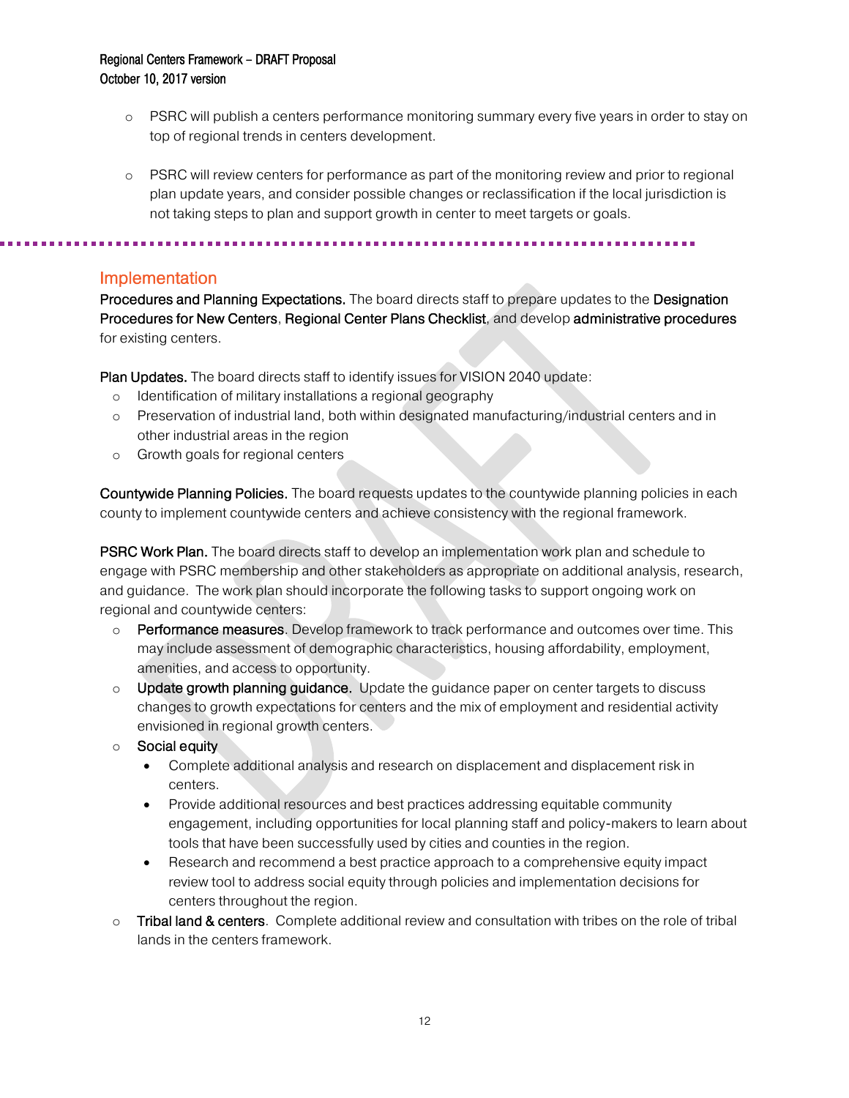- o PSRC will publish a centers performance monitoring summary every five years in order to stay on top of regional trends in centers development.
- o PSRC will review centers for performance as part of the monitoring review and prior to regional plan update years, and consider possible changes or reclassification if the local jurisdiction is not taking steps to plan and support growth in center to meet targets or goals.

<span id="page-12-0"></span>

### Implementation

Procedures and Planning Expectations. The board directs staff to prepare updates to the Designation Procedures for New Centers, Regional Center Plans Checklist, and develop administrative procedures for existing centers.

Plan Updates. The board directs staff to identify issues for VISION 2040 update:

- o Identification of military installations a regional geography
- o Preservation of industrial land, both within designated manufacturing/industrial centers and in other industrial areas in the region
- o Growth goals for regional centers

Countywide Planning Policies. The board requests updates to the countywide planning policies in each county to implement countywide centers and achieve consistency with the regional framework.

**PSRC Work Plan.** The board directs staff to develop an implementation work plan and schedule to engage with PSRC membership and other stakeholders as appropriate on additional analysis, research, and guidance. The work plan should incorporate the following tasks to support ongoing work on regional and countywide centers:

- $\circ$  Performance measures. Develop framework to track performance and outcomes over time. This may include assessment of demographic characteristics, housing affordability, employment, amenities, and access to opportunity.
- $\circ$  Update growth planning quidance. Update the quidance paper on center targets to discuss changes to growth expectations for centers and the mix of employment and residential activity envisioned in regional growth centers.
- o Social equity
	- Complete additional analysis and research on displacement and displacement risk in centers.
	- Provide additional resources and best practices addressing equitable community engagement, including opportunities for local planning staff and policy-makers to learn about tools that have been successfully used by cities and counties in the region.
	- Research and recommend a best practice approach to a comprehensive equity impact review tool to address social equity through policies and implementation decisions for centers throughout the region.
- $\circ$  Tribal land & centers. Complete additional review and consultation with tribes on the role of tribal lands in the centers framework.